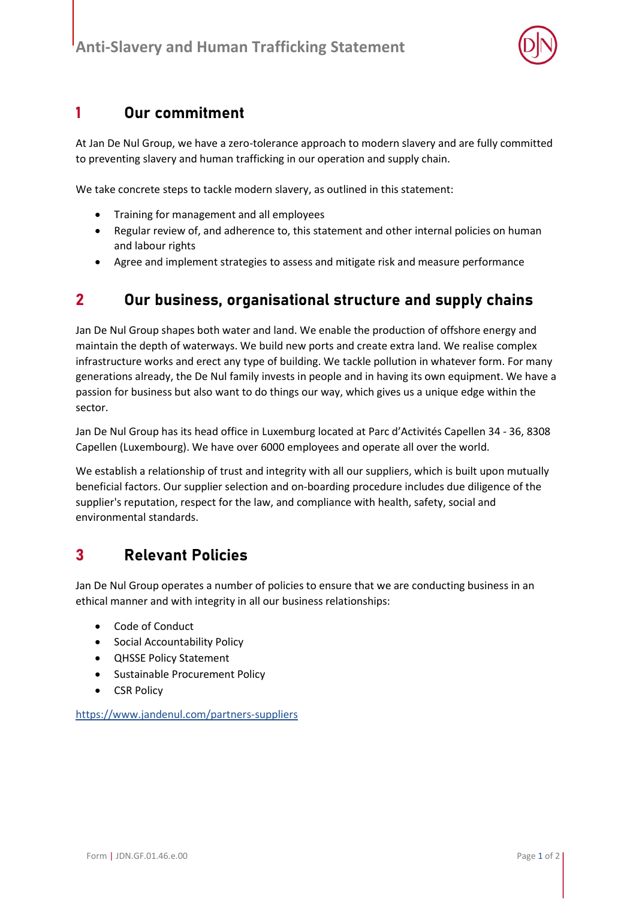

### 1 Our commitment

At Jan De Nul Group, we have a zero-tolerance approach to modern slavery and are fully committed to preventing slavery and human trafficking in our operation and supply chain.

We take concrete steps to tackle modern slavery, as outlined in this statement:

- Training for management and all employees
- Regular review of, and adherence to, this statement and other internal policies on human and labour rights
- Agree and implement strategies to assess and mitigate risk and measure performance

### 2 Our business, organisational structure and supply chains

Jan De Nul Group shapes both water and land. We enable the production of offshore energy and maintain the depth of waterways. We build new ports and create extra land. We realise complex infrastructure works and erect any type of building. We tackle pollution in whatever form. For many generations already, the De Nul family invests in people and in having its own equipment. We have a passion for business but also want to do things our way, which gives us a unique edge within the sector.

Jan De Nul Group has its head office in Luxemburg located at Parc d'Activités Capellen 34 - 36, 8308 Capellen (Luxembourg). We have over 6000 employees and operate all over the world.

We establish a relationship of trust and integrity with all our suppliers, which is built upon mutually beneficial factors. Our supplier selection and on-boarding procedure includes due diligence of the supplier's reputation, respect for the law, and compliance with health, safety, social and environmental standards.

### 3 Relevant Policies

Jan De Nul Group operates a number of policies to ensure that we are conducting business in an ethical manner and with integrity in all our business relationships:

- Code of Conduct
- **•** Social Accountability Policy
- QHSSE Policy Statement
- Sustainable Procurement Policy
- CSR Policy

https://www.jandenul.com/partners-suppliers